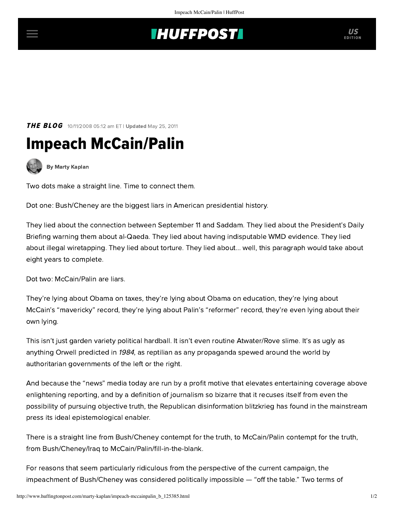## **INUFFPOSTI** US

**THE BLOG** 10/11/2008 05:12 am ET | Updated May 25, 2011

## Impeach McCain/Palin



[By Marty Kaplan](http://www.huffingtonpost.com/author/marty-kaplan)

Two dots make a straight line. Time to connect them.

Dot one: Bush/Cheney are the biggest liars in American presidential history.

They lied about the connection between September 11 and Saddam. They lied about the President's Daily Briefing warning them about al-Qaeda. They lied about having indisputable WMD evidence. They lied about illegal wiretapping. They lied about torture. They lied about... well, this paragraph would take about eight years to complete.

Dot two: McCain/Palin are liars.

They're lying about Obama on taxes, they're lying about Obama on education, they're lying about McCain's "mavericky" record, they're lying about Palin's "reformer" record, they're even lying about their own lying.

This isn't just garden variety political hardball. It isn't even routine Atwater/Rove slime. It's as ugly as anything Orwell predicted in <sup>1984</sup>, as reptilian as any propaganda spewed around the world by authoritarian governments of the left or the right.

And because the "news" media today are run by a profit motive that elevates entertaining coverage above enlightening reporting, and by a definition of journalism so bizarre that it recuses itself from even the possibility of pursuing objective truth, the Republican disinformation blitzkrieg has found in the mainstream press its ideal epistemological enabler.

There is a straight line from Bush/Cheney contempt for the truth, to McCain/Palin contempt for the truth, from Bush/Cheney/Iraq to McCain/Palin/fill-in-the-blank.

For reasons that seem particularly ridiculous from the perspective of the current campaign, the impeachment of Bush/Cheney was considered politically impossible — "off the table." Two terms of